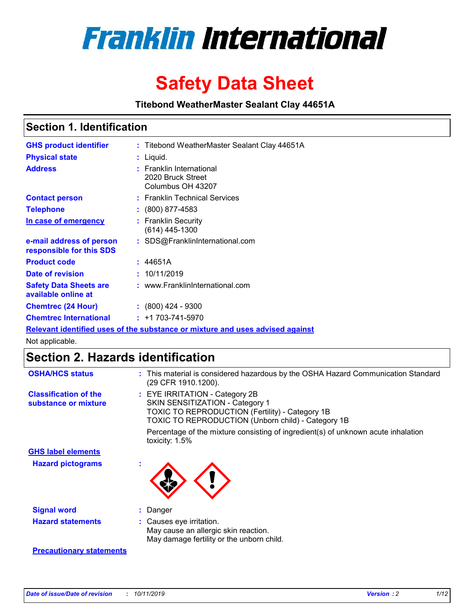

# **Safety Data Sheet**

**Titebond WeatherMaster Sealant Clay 44651A**

### **Section 1. Identification**

| <b>GHS product identifier</b>                        | : Titebond WeatherMaster Sealant Clay 44651A                                  |
|------------------------------------------------------|-------------------------------------------------------------------------------|
| <b>Physical state</b>                                | : Liquid.                                                                     |
| <b>Address</b>                                       | : Franklin International<br>2020 Bruck Street<br>Columbus OH 43207            |
| <b>Contact person</b>                                | : Franklin Technical Services                                                 |
| <b>Telephone</b>                                     | $\colon$ (800) 877-4583                                                       |
| In case of emergency                                 | : Franklin Security<br>(614) 445-1300                                         |
| e-mail address of person<br>responsible for this SDS | : SDS@FranklinInternational.com                                               |
| <b>Product code</b>                                  | : 44651A                                                                      |
| Date of revision                                     | : 10/11/2019                                                                  |
| <b>Safety Data Sheets are</b><br>available online at | : www.FranklinInternational.com                                               |
| <b>Chemtrec (24 Hour)</b>                            | $\div$ (800) 424 - 9300                                                       |
| <b>Chemtrec International</b>                        | $: +1703 - 741 - 5970$                                                        |
|                                                      | Relevant identified uses of the substance or mixture and uses advised against |

Not applicable.

## **Section 2. Hazards identification**

| <b>OSHA/HCS status</b>                               | : This material is considered hazardous by the OSHA Hazard Communication Standard<br>(29 CFR 1910.1200).                                                                                 |
|------------------------------------------------------|------------------------------------------------------------------------------------------------------------------------------------------------------------------------------------------|
| <b>Classification of the</b><br>substance or mixture | : EYE IRRITATION - Category 2B<br>SKIN SENSITIZATION - Category 1<br><b>TOXIC TO REPRODUCTION (Fertility) - Category 1B</b><br><b>TOXIC TO REPRODUCTION (Unborn child) - Category 1B</b> |
|                                                      | Percentage of the mixture consisting of ingredient(s) of unknown acute inhalation<br>toxicity: $1.5\%$                                                                                   |
| <b>GHS label elements</b>                            |                                                                                                                                                                                          |
| <b>Hazard pictograms</b>                             |                                                                                                                                                                                          |
| <b>Signal word</b>                                   | : Danger                                                                                                                                                                                 |
| <b>Hazard statements</b>                             | : Causes eye irritation.<br>May cause an allergic skin reaction.<br>May damage fertility or the unborn child.                                                                            |
| <b>Precautionary statements</b>                      |                                                                                                                                                                                          |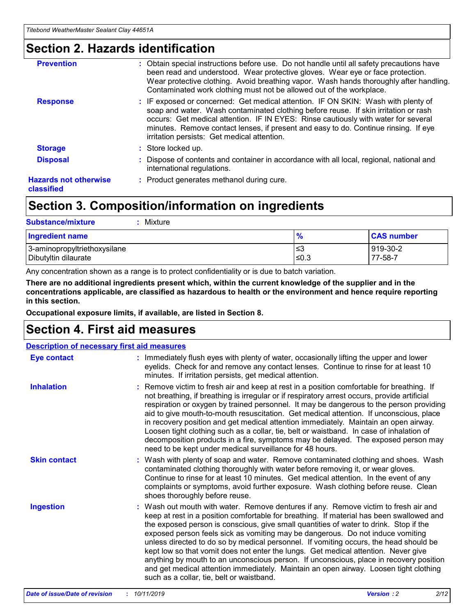### **Section 2. Hazards identification**

| <b>Prevention</b>                          | : Obtain special instructions before use. Do not handle until all safety precautions have<br>been read and understood. Wear protective gloves. Wear eye or face protection.<br>Wear protective clothing. Avoid breathing vapor. Wash hands thoroughly after handling.<br>Contaminated work clothing must not be allowed out of the workplace.                                                        |
|--------------------------------------------|------------------------------------------------------------------------------------------------------------------------------------------------------------------------------------------------------------------------------------------------------------------------------------------------------------------------------------------------------------------------------------------------------|
| <b>Response</b>                            | : IF exposed or concerned: Get medical attention. IF ON SKIN: Wash with plenty of<br>soap and water. Wash contaminated clothing before reuse. If skin irritation or rash<br>occurs: Get medical attention. IF IN EYES: Rinse cautiously with water for several<br>minutes. Remove contact lenses, if present and easy to do. Continue rinsing. If eye<br>irritation persists: Get medical attention. |
| <b>Storage</b>                             | : Store locked up.                                                                                                                                                                                                                                                                                                                                                                                   |
| <b>Disposal</b>                            | : Dispose of contents and container in accordance with all local, regional, national and<br>international regulations.                                                                                                                                                                                                                                                                               |
| <b>Hazards not otherwise</b><br>classified | : Product generates methanol during cure.                                                                                                                                                                                                                                                                                                                                                            |
|                                            |                                                                                                                                                                                                                                                                                                                                                                                                      |

### **Section 3. Composition/information on ingredients**

| <b>Substance/mixture</b><br>Mixture                  |                   |                     |
|------------------------------------------------------|-------------------|---------------------|
| <b>Ingredient name</b>                               | $\frac{9}{6}$     | <b>CAS number</b>   |
| 3-aminopropyltriethoxysilane<br>Dibutyltin dilaurate | l≤3<br>$\leq 0.3$ | 919-30-2<br>77-58-7 |

Any concentration shown as a range is to protect confidentiality or is due to batch variation.

**There are no additional ingredients present which, within the current knowledge of the supplier and in the concentrations applicable, are classified as hazardous to health or the environment and hence require reporting in this section.**

**Occupational exposure limits, if available, are listed in Section 8.**

### **Section 4. First aid measures**

| <b>Description of necessary first aid measures</b> |                                                                                                                                                                                                                                                                                                                                                                                                                                                                                                                                                                                                                                                                                                                                                                           |
|----------------------------------------------------|---------------------------------------------------------------------------------------------------------------------------------------------------------------------------------------------------------------------------------------------------------------------------------------------------------------------------------------------------------------------------------------------------------------------------------------------------------------------------------------------------------------------------------------------------------------------------------------------------------------------------------------------------------------------------------------------------------------------------------------------------------------------------|
| <b>Eye contact</b>                                 | : Immediately flush eyes with plenty of water, occasionally lifting the upper and lower<br>eyelids. Check for and remove any contact lenses. Continue to rinse for at least 10<br>minutes. If irritation persists, get medical attention.                                                                                                                                                                                                                                                                                                                                                                                                                                                                                                                                 |
| <b>Inhalation</b>                                  | : Remove victim to fresh air and keep at rest in a position comfortable for breathing. If<br>not breathing, if breathing is irregular or if respiratory arrest occurs, provide artificial<br>respiration or oxygen by trained personnel. It may be dangerous to the person providing<br>aid to give mouth-to-mouth resuscitation. Get medical attention. If unconscious, place<br>in recovery position and get medical attention immediately. Maintain an open airway.<br>Loosen tight clothing such as a collar, tie, belt or waistband. In case of inhalation of<br>decomposition products in a fire, symptoms may be delayed. The exposed person may<br>need to be kept under medical surveillance for 48 hours.                                                       |
| <b>Skin contact</b>                                | : Wash with plenty of soap and water. Remove contaminated clothing and shoes. Wash<br>contaminated clothing thoroughly with water before removing it, or wear gloves.<br>Continue to rinse for at least 10 minutes. Get medical attention. In the event of any<br>complaints or symptoms, avoid further exposure. Wash clothing before reuse. Clean<br>shoes thoroughly before reuse.                                                                                                                                                                                                                                                                                                                                                                                     |
| <b>Ingestion</b>                                   | : Wash out mouth with water. Remove dentures if any. Remove victim to fresh air and<br>keep at rest in a position comfortable for breathing. If material has been swallowed and<br>the exposed person is conscious, give small quantities of water to drink. Stop if the<br>exposed person feels sick as vomiting may be dangerous. Do not induce vomiting<br>unless directed to do so by medical personnel. If vomiting occurs, the head should be<br>kept low so that vomit does not enter the lungs. Get medical attention. Never give<br>anything by mouth to an unconscious person. If unconscious, place in recovery position<br>and get medical attention immediately. Maintain an open airway. Loosen tight clothing<br>such as a collar, tie, belt or waistband. |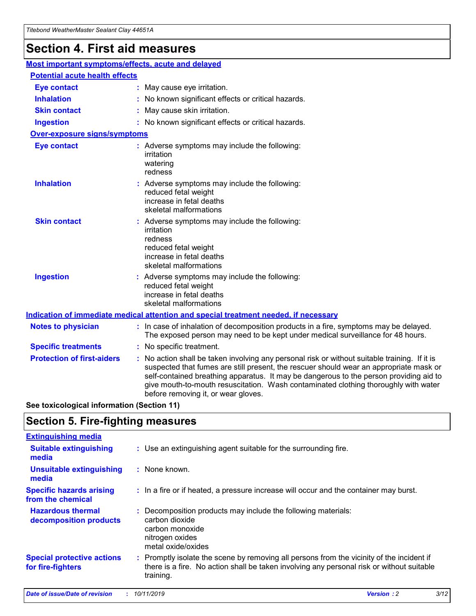## **Section 4. First aid measures**

| Most important symptoms/effects, acute and delayed |  |                                                                                                                                                                                                                                                                                                                                                                                                                 |  |  |
|----------------------------------------------------|--|-----------------------------------------------------------------------------------------------------------------------------------------------------------------------------------------------------------------------------------------------------------------------------------------------------------------------------------------------------------------------------------------------------------------|--|--|
| <b>Potential acute health effects</b>              |  |                                                                                                                                                                                                                                                                                                                                                                                                                 |  |  |
| <b>Eye contact</b>                                 |  | : May cause eye irritation.                                                                                                                                                                                                                                                                                                                                                                                     |  |  |
| <b>Inhalation</b>                                  |  | : No known significant effects or critical hazards.                                                                                                                                                                                                                                                                                                                                                             |  |  |
| <b>Skin contact</b>                                |  | : May cause skin irritation.                                                                                                                                                                                                                                                                                                                                                                                    |  |  |
| <b>Ingestion</b>                                   |  | : No known significant effects or critical hazards.                                                                                                                                                                                                                                                                                                                                                             |  |  |
| Over-exposure signs/symptoms                       |  |                                                                                                                                                                                                                                                                                                                                                                                                                 |  |  |
| <b>Eye contact</b>                                 |  | : Adverse symptoms may include the following:<br>irritation<br>watering<br>redness                                                                                                                                                                                                                                                                                                                              |  |  |
| <b>Inhalation</b>                                  |  | : Adverse symptoms may include the following:<br>reduced fetal weight<br>increase in fetal deaths<br>skeletal malformations                                                                                                                                                                                                                                                                                     |  |  |
| <b>Skin contact</b>                                |  | : Adverse symptoms may include the following:<br>irritation<br>redness<br>reduced fetal weight<br>increase in fetal deaths<br>skeletal malformations                                                                                                                                                                                                                                                            |  |  |
| <b>Ingestion</b>                                   |  | : Adverse symptoms may include the following:<br>reduced fetal weight<br>increase in fetal deaths<br>skeletal malformations                                                                                                                                                                                                                                                                                     |  |  |
|                                                    |  | <b>Indication of immediate medical attention and special treatment needed, if necessary</b>                                                                                                                                                                                                                                                                                                                     |  |  |
| <b>Notes to physician</b>                          |  | : In case of inhalation of decomposition products in a fire, symptoms may be delayed.<br>The exposed person may need to be kept under medical surveillance for 48 hours.                                                                                                                                                                                                                                        |  |  |
| <b>Specific treatments</b>                         |  | : No specific treatment.                                                                                                                                                                                                                                                                                                                                                                                        |  |  |
| <b>Protection of first-aiders</b>                  |  | : No action shall be taken involving any personal risk or without suitable training. If it is<br>suspected that fumes are still present, the rescuer should wear an appropriate mask or<br>self-contained breathing apparatus. It may be dangerous to the person providing aid to<br>give mouth-to-mouth resuscitation. Wash contaminated clothing thoroughly with water<br>before removing it, or wear gloves. |  |  |

**See toxicological information (Section 11)**

### **Section 5. Fire-fighting measures**

| <b>Extinguishing media</b>                             |                                                                                                                                                                                                     |
|--------------------------------------------------------|-----------------------------------------------------------------------------------------------------------------------------------------------------------------------------------------------------|
| <b>Suitable extinguishing</b><br>media                 | : Use an extinguishing agent suitable for the surrounding fire.                                                                                                                                     |
| <b>Unsuitable extinguishing</b><br>media               | $:$ None known.                                                                                                                                                                                     |
| <b>Specific hazards arising</b><br>from the chemical   | : In a fire or if heated, a pressure increase will occur and the container may burst.                                                                                                               |
| <b>Hazardous thermal</b><br>decomposition products     | : Decomposition products may include the following materials:<br>carbon dioxide<br>carbon monoxide<br>nitrogen oxides<br>metal oxide/oxides                                                         |
| <b>Special protective actions</b><br>for fire-fighters | : Promptly isolate the scene by removing all persons from the vicinity of the incident if<br>there is a fire. No action shall be taken involving any personal risk or without suitable<br>training. |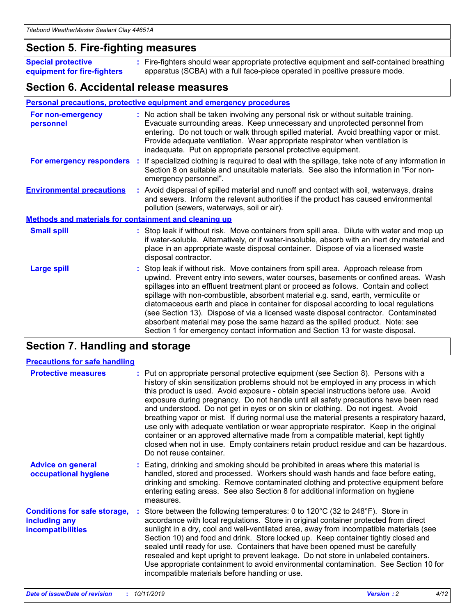### **Section 5. Fire-fighting measures**

**Special protective equipment for fire-fighters** Fire-fighters should wear appropriate protective equipment and self-contained breathing **:** apparatus (SCBA) with a full face-piece operated in positive pressure mode.

### **Section 6. Accidental release measures**

#### **Personal precautions, protective equipment and emergency procedures**

| For non-emergency<br>personnel                               | : No action shall be taken involving any personal risk or without suitable training.<br>Evacuate surrounding areas. Keep unnecessary and unprotected personnel from<br>entering. Do not touch or walk through spilled material. Avoid breathing vapor or mist.<br>Provide adequate ventilation. Wear appropriate respirator when ventilation is<br>inadequate. Put on appropriate personal protective equipment.                                                                                                                                                                                                                                                                                             |
|--------------------------------------------------------------|--------------------------------------------------------------------------------------------------------------------------------------------------------------------------------------------------------------------------------------------------------------------------------------------------------------------------------------------------------------------------------------------------------------------------------------------------------------------------------------------------------------------------------------------------------------------------------------------------------------------------------------------------------------------------------------------------------------|
|                                                              | For emergency responders : If specialized clothing is required to deal with the spillage, take note of any information in<br>Section 8 on suitable and unsuitable materials. See also the information in "For non-<br>emergency personnel".                                                                                                                                                                                                                                                                                                                                                                                                                                                                  |
| <b>Environmental precautions</b>                             | : Avoid dispersal of spilled material and runoff and contact with soil, waterways, drains<br>and sewers. Inform the relevant authorities if the product has caused environmental<br>pollution (sewers, waterways, soil or air).                                                                                                                                                                                                                                                                                                                                                                                                                                                                              |
| <b>Methods and materials for containment and cleaning up</b> |                                                                                                                                                                                                                                                                                                                                                                                                                                                                                                                                                                                                                                                                                                              |
| <b>Small spill</b>                                           | : Stop leak if without risk. Move containers from spill area. Dilute with water and mop up<br>if water-soluble. Alternatively, or if water-insoluble, absorb with an inert dry material and<br>place in an appropriate waste disposal container. Dispose of via a licensed waste<br>disposal contractor.                                                                                                                                                                                                                                                                                                                                                                                                     |
| <b>Large spill</b>                                           | : Stop leak if without risk. Move containers from spill area. Approach release from<br>upwind. Prevent entry into sewers, water courses, basements or confined areas. Wash<br>spillages into an effluent treatment plant or proceed as follows. Contain and collect<br>spillage with non-combustible, absorbent material e.g. sand, earth, vermiculite or<br>diatomaceous earth and place in container for disposal according to local regulations<br>(see Section 13). Dispose of via a licensed waste disposal contractor. Contaminated<br>absorbent material may pose the same hazard as the spilled product. Note: see<br>Section 1 for emergency contact information and Section 13 for waste disposal. |

### **Section 7. Handling and storage**

| <b>Precautions for safe handling</b>                                             |                                                                                                                                                                                                                                                                                                                                                                                                                                                                                                                                                                                                                                                                                                                                                                                                                                                  |
|----------------------------------------------------------------------------------|--------------------------------------------------------------------------------------------------------------------------------------------------------------------------------------------------------------------------------------------------------------------------------------------------------------------------------------------------------------------------------------------------------------------------------------------------------------------------------------------------------------------------------------------------------------------------------------------------------------------------------------------------------------------------------------------------------------------------------------------------------------------------------------------------------------------------------------------------|
| <b>Protective measures</b>                                                       | : Put on appropriate personal protective equipment (see Section 8). Persons with a<br>history of skin sensitization problems should not be employed in any process in which<br>this product is used. Avoid exposure - obtain special instructions before use. Avoid<br>exposure during pregnancy. Do not handle until all safety precautions have been read<br>and understood. Do not get in eyes or on skin or clothing. Do not ingest. Avoid<br>breathing vapor or mist. If during normal use the material presents a respiratory hazard,<br>use only with adequate ventilation or wear appropriate respirator. Keep in the original<br>container or an approved alternative made from a compatible material, kept tightly<br>closed when not in use. Empty containers retain product residue and can be hazardous.<br>Do not reuse container. |
| <b>Advice on general</b><br>occupational hygiene                                 | : Eating, drinking and smoking should be prohibited in areas where this material is<br>handled, stored and processed. Workers should wash hands and face before eating,<br>drinking and smoking. Remove contaminated clothing and protective equipment before<br>entering eating areas. See also Section 8 for additional information on hygiene<br>measures.                                                                                                                                                                                                                                                                                                                                                                                                                                                                                    |
| <b>Conditions for safe storage,</b><br>including any<br><b>incompatibilities</b> | Store between the following temperatures: 0 to 120°C (32 to 248°F). Store in<br>accordance with local regulations. Store in original container protected from direct<br>sunlight in a dry, cool and well-ventilated area, away from incompatible materials (see<br>Section 10) and food and drink. Store locked up. Keep container tightly closed and<br>sealed until ready for use. Containers that have been opened must be carefully<br>resealed and kept upright to prevent leakage. Do not store in unlabeled containers.<br>Use appropriate containment to avoid environmental contamination. See Section 10 for<br>incompatible materials before handling or use.                                                                                                                                                                         |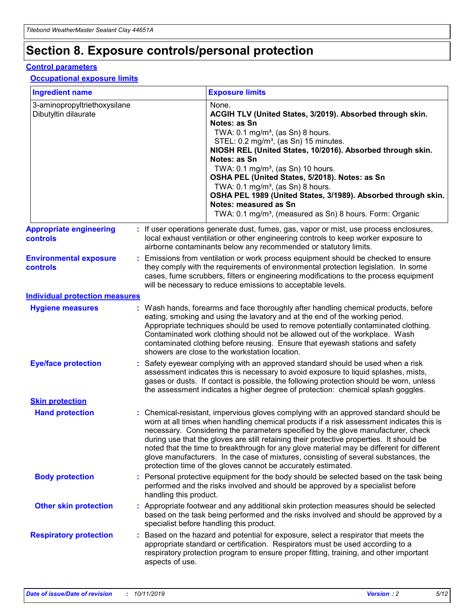## **Section 8. Exposure controls/personal protection**

#### **Control parameters**

#### **Occupational exposure limits**

| <b>Ingredient name</b>                               |    |                        | <b>Exposure limits</b>                                                                                                                                                                                                                                                                                                                                                                                                                                                                                                                                                                                                 |
|------------------------------------------------------|----|------------------------|------------------------------------------------------------------------------------------------------------------------------------------------------------------------------------------------------------------------------------------------------------------------------------------------------------------------------------------------------------------------------------------------------------------------------------------------------------------------------------------------------------------------------------------------------------------------------------------------------------------------|
| 3-aminopropyltriethoxysilane<br>Dibutyltin dilaurate |    |                        | None.<br>ACGIH TLV (United States, 3/2019). Absorbed through skin.<br>Notes: as Sn<br>TWA: $0.1 \text{ mg/m}^3$ , (as Sn) 8 hours.<br>STEL: 0.2 mg/m <sup>3</sup> , (as Sn) 15 minutes.<br>NIOSH REL (United States, 10/2016). Absorbed through skin.<br>Notes: as Sn<br>TWA: 0.1 mg/m <sup>3</sup> , (as Sn) 10 hours.<br>OSHA PEL (United States, 5/2018). Notes: as Sn<br>TWA: 0.1 mg/m <sup>3</sup> , (as Sn) 8 hours.<br>OSHA PEL 1989 (United States, 3/1989). Absorbed through skin.<br>Notes: measured as Sn<br>TWA: 0.1 mg/m <sup>3</sup> , (measured as Sn) 8 hours. Form: Organic                           |
| <b>Appropriate engineering</b><br>controls           |    |                        | : If user operations generate dust, fumes, gas, vapor or mist, use process enclosures,<br>local exhaust ventilation or other engineering controls to keep worker exposure to<br>airborne contaminants below any recommended or statutory limits.                                                                                                                                                                                                                                                                                                                                                                       |
| <b>Environmental exposure</b><br>controls            |    |                        | Emissions from ventilation or work process equipment should be checked to ensure<br>they comply with the requirements of environmental protection legislation. In some<br>cases, fume scrubbers, filters or engineering modifications to the process equipment<br>will be necessary to reduce emissions to acceptable levels.                                                                                                                                                                                                                                                                                          |
| <b>Individual protection measures</b>                |    |                        |                                                                                                                                                                                                                                                                                                                                                                                                                                                                                                                                                                                                                        |
| <b>Hygiene measures</b>                              |    |                        | : Wash hands, forearms and face thoroughly after handling chemical products, before<br>eating, smoking and using the lavatory and at the end of the working period.<br>Appropriate techniques should be used to remove potentially contaminated clothing.<br>Contaminated work clothing should not be allowed out of the workplace. Wash<br>contaminated clothing before reusing. Ensure that eyewash stations and safety<br>showers are close to the workstation location.                                                                                                                                            |
| <b>Eye/face protection</b>                           |    |                        | Safety eyewear complying with an approved standard should be used when a risk<br>assessment indicates this is necessary to avoid exposure to liquid splashes, mists,<br>gases or dusts. If contact is possible, the following protection should be worn, unless<br>the assessment indicates a higher degree of protection: chemical splash goggles.                                                                                                                                                                                                                                                                    |
| <b>Skin protection</b>                               |    |                        |                                                                                                                                                                                                                                                                                                                                                                                                                                                                                                                                                                                                                        |
| <b>Hand protection</b>                               |    |                        | : Chemical-resistant, impervious gloves complying with an approved standard should be<br>worn at all times when handling chemical products if a risk assessment indicates this is<br>necessary. Considering the parameters specified by the glove manufacturer, check<br>during use that the gloves are still retaining their protective properties. It should be<br>noted that the time to breakthrough for any glove material may be different for different<br>glove manufacturers. In the case of mixtures, consisting of several substances, the<br>protection time of the gloves cannot be accurately estimated. |
| <b>Body protection</b>                               |    | handling this product. | Personal protective equipment for the body should be selected based on the task being<br>performed and the risks involved and should be approved by a specialist before                                                                                                                                                                                                                                                                                                                                                                                                                                                |
| <b>Other skin protection</b>                         |    |                        | : Appropriate footwear and any additional skin protection measures should be selected<br>based on the task being performed and the risks involved and should be approved by a<br>specialist before handling this product.                                                                                                                                                                                                                                                                                                                                                                                              |
| <b>Respiratory protection</b>                        | ÷. | aspects of use.        | Based on the hazard and potential for exposure, select a respirator that meets the<br>appropriate standard or certification. Respirators must be used according to a<br>respiratory protection program to ensure proper fitting, training, and other important                                                                                                                                                                                                                                                                                                                                                         |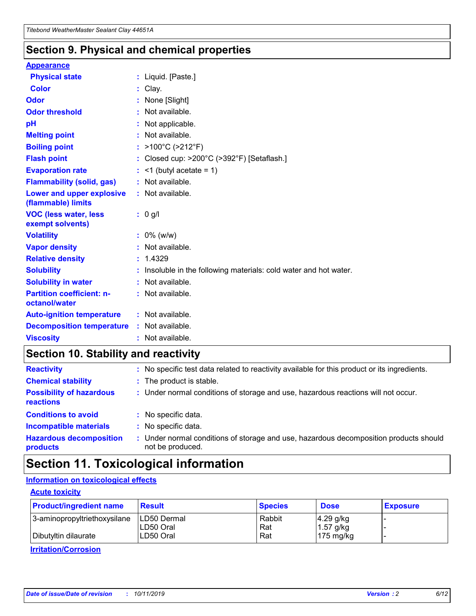### **Section 9. Physical and chemical properties**

#### **Appearance**

| <b>Physical state</b>                             | : Liquid. [Paste.]                                              |
|---------------------------------------------------|-----------------------------------------------------------------|
| Color                                             | Clay.                                                           |
| Odor                                              | : None [Slight]                                                 |
| <b>Odor threshold</b>                             | : Not available.                                                |
| рH                                                | : Not applicable.                                               |
| <b>Melting point</b>                              | : Not available.                                                |
| <b>Boiling point</b>                              | : $>100^{\circ}$ C ( $>212^{\circ}$ F)                          |
| <b>Flash point</b>                                | : Closed cup: $>200^{\circ}$ C ( $>392^{\circ}$ F) [Setaflash.] |
| <b>Evaporation rate</b>                           | $:$ <1 (butyl acetate = 1)                                      |
| <b>Flammability (solid, gas)</b>                  | : Not available.                                                |
| Lower and upper explosive<br>(flammable) limits   | : Not available.                                                |
| <b>VOC (less water, less</b><br>exempt solvents)  | $: 0$ g/l                                                       |
| <b>Volatility</b>                                 | $: 0\%$ (w/w)                                                   |
| <b>Vapor density</b>                              |                                                                 |
|                                                   | : Not available.                                                |
| <b>Relative density</b>                           | : 1.4329                                                        |
| <b>Solubility</b>                                 | Insoluble in the following materials: cold water and hot water. |
| <b>Solubility in water</b>                        | : Not available.                                                |
| <b>Partition coefficient: n-</b><br>octanol/water | $:$ Not available.                                              |
| <b>Auto-ignition temperature</b>                  | : Not available.                                                |
| <b>Decomposition temperature</b>                  | : Not available.                                                |

### **Section 10. Stability and reactivity**

| <b>Reactivity</b>                            |    | : No specific test data related to reactivity available for this product or its ingredients.            |
|----------------------------------------------|----|---------------------------------------------------------------------------------------------------------|
| <b>Chemical stability</b>                    |    | : The product is stable.                                                                                |
| <b>Possibility of hazardous</b><br>reactions |    | : Under normal conditions of storage and use, hazardous reactions will not occur.                       |
| <b>Conditions to avoid</b>                   |    | : No specific data.                                                                                     |
| <b>Incompatible materials</b>                | ٠. | No specific data.                                                                                       |
| <b>Hazardous decomposition</b><br>products   | ÷. | Under normal conditions of storage and use, hazardous decomposition products should<br>not be produced. |

### **Section 11. Toxicological information**

#### **Information on toxicological effects**

#### **Acute toxicity**

| <b>Product/ingredient name</b> | <b>Result</b>           | <b>Species</b> | <b>Dose</b>                | <b>Exposure</b> |
|--------------------------------|-------------------------|----------------|----------------------------|-----------------|
| 3-aminopropyltriethoxysilane   | <b>ILD50 Dermal</b>     | Rabbit         | 4.29 g/kg                  |                 |
| Dibutyltin dilaurate           | ILD50 Oral<br>LD50 Oral | Rat<br>Rat     | $1.57$ g/kg<br>175 $mg/kg$ |                 |
|                                |                         |                |                            |                 |

**Irritation/Corrosion**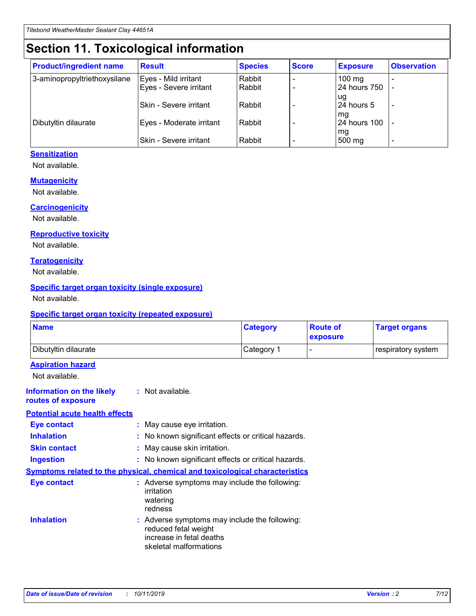## **Section 11. Toxicological information**

| <b>Product/ingredient name</b> | <b>Result</b>            | <b>Species</b> | <b>Score</b> | <b>Exposure</b>     | <b>Observation</b> |
|--------------------------------|--------------------------|----------------|--------------|---------------------|--------------------|
| 3-aminopropyltriethoxysilane   | Eyes - Mild irritant     | Rabbit         |              | $100 \text{ mg}$    |                    |
|                                | Eyes - Severe irritant   | Rabbit         |              | 24 hours 750        |                    |
|                                |                          |                |              | ug                  |                    |
|                                | Skin - Severe irritant   | Rabbit         |              | 24 hours 5          |                    |
|                                |                          |                |              | mq                  |                    |
| Dibutyltin dilaurate           | Eyes - Moderate irritant | Rabbit         |              | <b>24 hours 100</b> |                    |
|                                | Skin - Severe irritant   | Rabbit         |              | mg<br>500 mg        |                    |
|                                |                          |                |              |                     |                    |

#### **Sensitization**

Not available.

#### **Mutagenicity**

Not available.

#### **Carcinogenicity**

Not available.

#### **Reproductive toxicity**

Not available.

#### **Teratogenicity**

Not available.

#### **Specific target organ toxicity (single exposure)**

Not available.

#### **Specific target organ toxicity (repeated exposure)**

| <b>Name</b>                                                                         |                                                                            | <b>Category</b>                                     | <b>Route of</b><br>exposure | <b>Target organs</b> |
|-------------------------------------------------------------------------------------|----------------------------------------------------------------------------|-----------------------------------------------------|-----------------------------|----------------------|
| Dibutyltin dilaurate                                                                |                                                                            | Category 1                                          |                             | respiratory system   |
| <b>Aspiration hazard</b><br>Not available.                                          |                                                                            |                                                     |                             |                      |
| <b>Information on the likely</b><br>routes of exposure                              | : Not available.                                                           |                                                     |                             |                      |
| <b>Potential acute health effects</b>                                               |                                                                            |                                                     |                             |                      |
| <b>Eye contact</b>                                                                  | : May cause eye irritation.                                                |                                                     |                             |                      |
| <b>Inhalation</b>                                                                   |                                                                            | : No known significant effects or critical hazards. |                             |                      |
| <b>Skin contact</b>                                                                 | : May cause skin irritation.                                               |                                                     |                             |                      |
| <b>Ingestion</b>                                                                    |                                                                            | : No known significant effects or critical hazards. |                             |                      |
| <b>Symptoms related to the physical, chemical and toxicological characteristics</b> |                                                                            |                                                     |                             |                      |
| <b>Eye contact</b>                                                                  | irritation<br>watering<br>redness                                          | : Adverse symptoms may include the following:       |                             |                      |
| <b>Inhalation</b>                                                                   | reduced fetal weight<br>increase in fetal deaths<br>skeletal malformations | : Adverse symptoms may include the following:       |                             |                      |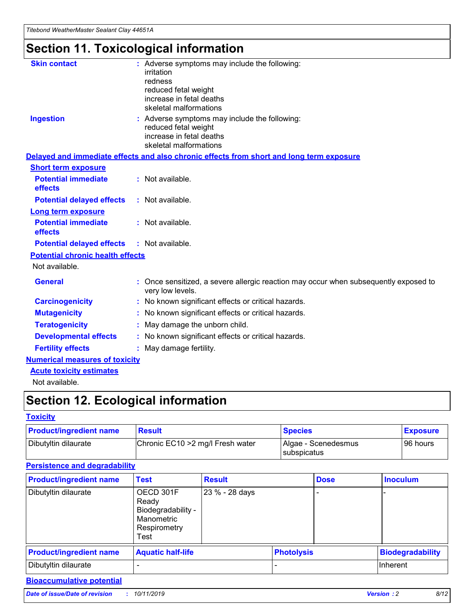## **Section 11. Toxicological information**

| <b>Skin contact</b>                     | : Adverse symptoms may include the following:<br>irritation<br>redness<br>reduced fetal weight<br>increase in fetal deaths<br>skeletal malformations |
|-----------------------------------------|------------------------------------------------------------------------------------------------------------------------------------------------------|
| <b>Ingestion</b>                        | : Adverse symptoms may include the following:<br>reduced fetal weight<br>increase in fetal deaths<br>skeletal malformations                          |
|                                         | Delayed and immediate effects and also chronic effects from short and long term exposure                                                             |
| <b>Short term exposure</b>              |                                                                                                                                                      |
| <b>Potential immediate</b><br>effects   | : Not available.                                                                                                                                     |
| <b>Potential delayed effects</b>        | : Not available.                                                                                                                                     |
| <b>Long term exposure</b>               |                                                                                                                                                      |
| <b>Potential immediate</b><br>effects   | : Not available.                                                                                                                                     |
| <b>Potential delayed effects</b>        | : Not available.                                                                                                                                     |
| <b>Potential chronic health effects</b> |                                                                                                                                                      |
| Not available.                          |                                                                                                                                                      |
| <b>General</b>                          | : Once sensitized, a severe allergic reaction may occur when subsequently exposed to<br>very low levels.                                             |
| <b>Carcinogenicity</b>                  | : No known significant effects or critical hazards.                                                                                                  |
| <b>Mutagenicity</b>                     | No known significant effects or critical hazards.                                                                                                    |
| <b>Teratogenicity</b>                   | May damage the unborn child.                                                                                                                         |
| <b>Developmental effects</b>            | : No known significant effects or critical hazards.                                                                                                  |
| <b>Fertility effects</b>                | : May damage fertility.                                                                                                                              |
| <b>Numerical measures of toxicity</b>   |                                                                                                                                                      |
| <b>Acute toxicity estimates</b>         |                                                                                                                                                      |
| .                                       |                                                                                                                                                      |

Not available.

## **Section 12. Ecological information**

#### **Toxicity**

| <b>Product/ingredient name</b> | <b>Result</b>                     | <b>Species</b>                       | <b>Exposure</b> |
|--------------------------------|-----------------------------------|--------------------------------------|-----------------|
| Dibutyltin dilaurate           | Chronic EC10 > 2 mg/l Fresh water | Algae - Scenedesmus<br>I subspicatus | l 96 hours      |

#### **Persistence and degradability**

| <b>Product/ingredient name</b> | <b>Test</b>                                                                    | <b>Result</b>  |                   | <b>Dose</b> | <b>Inoculum</b>         |
|--------------------------------|--------------------------------------------------------------------------------|----------------|-------------------|-------------|-------------------------|
| Dibutyltin dilaurate           | OECD 301F<br>Ready<br>Biodegradability -<br>Manometric<br>Respirometry<br>Test | 23 % - 28 days |                   |             |                         |
| <b>Product/ingredient name</b> | <b>Aquatic half-life</b>                                                       |                | <b>Photolysis</b> |             | <b>Biodegradability</b> |
| Dibutyltin dilaurate           |                                                                                |                |                   |             | Inherent                |

#### **Bioaccumulative potential**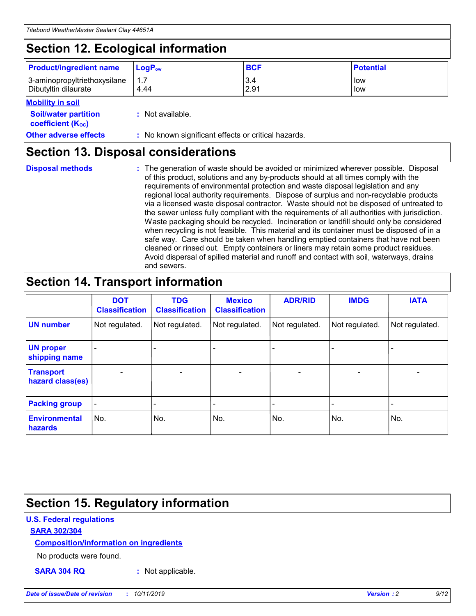## **Section 12. Ecological information**

| <b>Product/ingredient name</b>                       | ∣LoqP <sub>ow</sub> | <b>BCF</b>  | <b>Potential</b> |
|------------------------------------------------------|---------------------|-------------|------------------|
| 3-aminopropyltriethoxysilane<br>Dibutyltin dilaurate | 4.44                | 3.4<br>2.91 | low<br>low       |

#### **Mobility in soil**

| <i></i>                                                       |                                                     |
|---------------------------------------------------------------|-----------------------------------------------------|
| <b>Soil/water partition</b><br>coefficient (K <sub>oc</sub> ) | : Not available.                                    |
| <b>Other adverse effects</b>                                  | : No known significant effects or critical hazards. |

### **Section 13. Disposal considerations**

**Disposal methods :**

The generation of waste should be avoided or minimized wherever possible. Disposal of this product, solutions and any by-products should at all times comply with the requirements of environmental protection and waste disposal legislation and any regional local authority requirements. Dispose of surplus and non-recyclable products via a licensed waste disposal contractor. Waste should not be disposed of untreated to the sewer unless fully compliant with the requirements of all authorities with jurisdiction. Waste packaging should be recycled. Incineration or landfill should only be considered when recycling is not feasible. This material and its container must be disposed of in a safe way. Care should be taken when handling emptied containers that have not been cleaned or rinsed out. Empty containers or liners may retain some product residues. Avoid dispersal of spilled material and runoff and contact with soil, waterways, drains and sewers.

## **Section 14. Transport information**

|                                      | <b>DOT</b><br><b>Classification</b> | <b>TDG</b><br><b>Classification</b> | <b>Mexico</b><br><b>Classification</b> | <b>ADR/RID</b>           | <b>IMDG</b>              | <b>IATA</b>    |
|--------------------------------------|-------------------------------------|-------------------------------------|----------------------------------------|--------------------------|--------------------------|----------------|
| <b>UN number</b>                     | Not regulated.                      | Not regulated.                      | Not regulated.                         | Not regulated.           | Not regulated.           | Not regulated. |
| <b>UN proper</b><br>shipping name    | $\blacksquare$                      |                                     |                                        |                          |                          |                |
| <b>Transport</b><br>hazard class(es) | $\blacksquare$                      | $\overline{\phantom{a}}$            | $\overline{\phantom{a}}$               | $\overline{\phantom{a}}$ | $\overline{\phantom{a}}$ | $\blacksquare$ |
| <b>Packing group</b>                 | $\overline{\phantom{a}}$            | -                                   | -                                      | -                        |                          | -              |
| <b>Environmental</b><br>hazards      | No.                                 | No.                                 | No.                                    | No.                      | No.                      | No.            |

## **Section 15. Regulatory information**

#### **U.S. Federal regulations**

#### **SARA 302/304**

#### **Composition/information on ingredients**

No products were found.

**SARA 304 RQ :** Not applicable.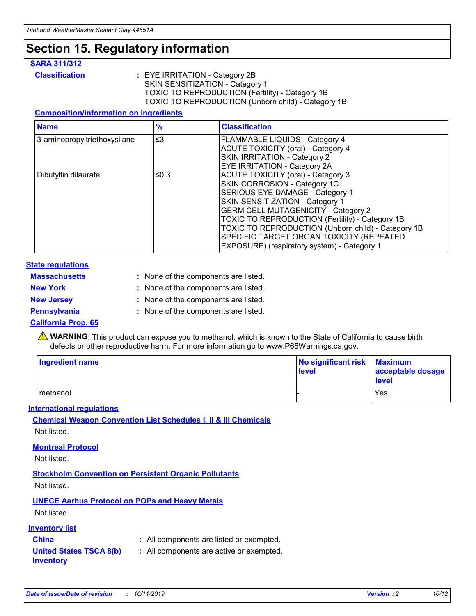## **Section 15. Regulatory information**

#### **SARA 311/312**

**Classification :** EYE IRRITATION - Category 2B SKIN SENSITIZATION - Category 1 TOXIC TO REPRODUCTION (Fertility) - Category 1B TOXIC TO REPRODUCTION (Unborn child) - Category 1B

#### **Composition/information on ingredients**

| <b>Name</b>                  | $\frac{9}{6}$ | <b>Classification</b>                                                                                            |
|------------------------------|---------------|------------------------------------------------------------------------------------------------------------------|
| 3-aminopropyltriethoxysilane | $\leq$ 3      | <b>FLAMMABLE LIQUIDS - Category 4</b><br><b>ACUTE TOXICITY (oral) - Category 4</b>                               |
|                              |               | SKIN IRRITATION - Category 2<br>EYE IRRITATION - Category 2A                                                     |
| Dibutyltin dilaurate         | ≤0.3          | ACUTE TOXICITY (oral) - Category 3<br>SKIN CORROSION - Category 1C                                               |
|                              |               | SERIOUS EYE DAMAGE - Category 1<br>SKIN SENSITIZATION - Category 1<br><b>GERM CELL MUTAGENICITY - Category 2</b> |
|                              |               | TOXIC TO REPRODUCTION (Fertility) - Category 1B<br>TOXIC TO REPRODUCTION (Unborn child) - Category 1B            |
|                              |               | SPECIFIC TARGET ORGAN TOXICITY (REPEATED<br>EXPOSURE) (respiratory system) - Category 1                          |

#### **State regulations**

| <b>Massachusetts</b> | : None of the components are listed. |
|----------------------|--------------------------------------|
| <b>New York</b>      | : None of the components are listed. |
| <b>New Jersey</b>    | : None of the components are listed. |
| <b>Pennsylvania</b>  | : None of the components are listed. |

#### **California Prop. 65**

**A** WARNING: This product can expose you to methanol, which is known to the State of California to cause birth defects or other reproductive harm. For more information go to www.P65Warnings.ca.gov.

| <b>Ingredient name</b> | No significant risk Maximum<br>level | acceptable dosage<br>level |
|------------------------|--------------------------------------|----------------------------|
| methanol               |                                      | Yes.                       |

#### **International regulations**

**Chemical Weapon Convention List Schedules I, II & III Chemicals** Not listed.

#### **Montreal Protocol**

Not listed.

**Stockholm Convention on Persistent Organic Pollutants**

Not listed.

#### **UNECE Aarhus Protocol on POPs and Heavy Metals**

Not listed.

#### **Inventory list**

### **China :** All components are listed or exempted.

**United States TSCA 8(b) inventory :** All components are active or exempted.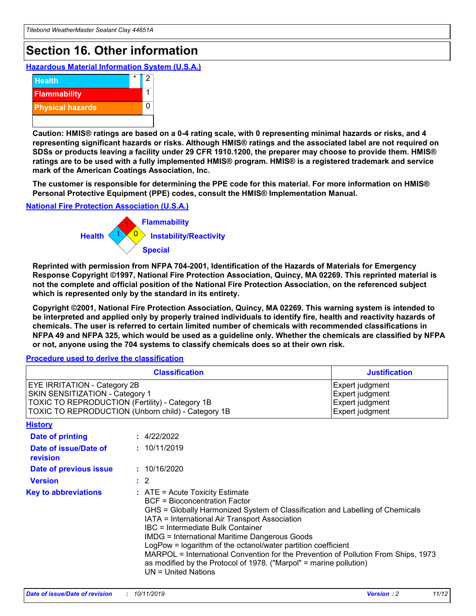## **Section 16. Other information**

**Hazardous Material Information System (U.S.A.)**



**Caution: HMIS® ratings are based on a 0-4 rating scale, with 0 representing minimal hazards or risks, and 4 representing significant hazards or risks. Although HMIS® ratings and the associated label are not required on SDSs or products leaving a facility under 29 CFR 1910.1200, the preparer may choose to provide them. HMIS® ratings are to be used with a fully implemented HMIS® program. HMIS® is a registered trademark and service mark of the American Coatings Association, Inc.**

**The customer is responsible for determining the PPE code for this material. For more information on HMIS® Personal Protective Equipment (PPE) codes, consult the HMIS® Implementation Manual.**

#### **National Fire Protection Association (U.S.A.)**



**Reprinted with permission from NFPA 704-2001, Identification of the Hazards of Materials for Emergency Response Copyright ©1997, National Fire Protection Association, Quincy, MA 02269. This reprinted material is not the complete and official position of the National Fire Protection Association, on the referenced subject which is represented only by the standard in its entirety.**

**Copyright ©2001, National Fire Protection Association, Quincy, MA 02269. This warning system is intended to be interpreted and applied only by properly trained individuals to identify fire, health and reactivity hazards of chemicals. The user is referred to certain limited number of chemicals with recommended classifications in NFPA 49 and NFPA 325, which would be used as a guideline only. Whether the chemicals are classified by NFPA or not, anyone using the 704 systems to classify chemicals does so at their own risk.**

#### **Procedure used to derive the classification**

| <b>Classification</b>                                                                                                                                                                  |                                                                                                                                                                                                                                                                   | <b>Justification</b>                                                                                                                                                                                                                                                                                       |  |
|----------------------------------------------------------------------------------------------------------------------------------------------------------------------------------------|-------------------------------------------------------------------------------------------------------------------------------------------------------------------------------------------------------------------------------------------------------------------|------------------------------------------------------------------------------------------------------------------------------------------------------------------------------------------------------------------------------------------------------------------------------------------------------------|--|
| <b>EYE IRRITATION - Category 2B</b><br>SKIN SENSITIZATION - Category 1<br><b>TOXIC TO REPRODUCTION (Fertility) - Category 1B</b><br>TOXIC TO REPRODUCTION (Unborn child) - Category 1B |                                                                                                                                                                                                                                                                   | Expert judgment<br>Expert judgment<br>Expert judgment<br>Expert judgment                                                                                                                                                                                                                                   |  |
| <b>History</b>                                                                                                                                                                         |                                                                                                                                                                                                                                                                   |                                                                                                                                                                                                                                                                                                            |  |
| Date of printing                                                                                                                                                                       | : 4/22/2022                                                                                                                                                                                                                                                       |                                                                                                                                                                                                                                                                                                            |  |
| Date of issue/Date of<br>revision                                                                                                                                                      | : 10/11/2019                                                                                                                                                                                                                                                      |                                                                                                                                                                                                                                                                                                            |  |
| Date of previous issue                                                                                                                                                                 | : 10/16/2020                                                                                                                                                                                                                                                      |                                                                                                                                                                                                                                                                                                            |  |
| <b>Version</b>                                                                                                                                                                         | $\therefore$ 2                                                                                                                                                                                                                                                    |                                                                                                                                                                                                                                                                                                            |  |
| <b>Key to abbreviations</b>                                                                                                                                                            | $\therefore$ ATE = Acute Toxicity Estimate<br><b>BCF</b> = Bioconcentration Factor<br>IATA = International Air Transport Association<br><b>IBC</b> = Intermediate Bulk Container<br><b>IMDG = International Maritime Dangerous Goods</b><br>$UN = United Nations$ | GHS = Globally Harmonized System of Classification and Labelling of Chemicals<br>LogPow = logarithm of the octanol/water partition coefficient<br>MARPOL = International Convention for the Prevention of Pollution From Ships, 1973<br>as modified by the Protocol of 1978. ("Marpol" = marine pollution) |  |